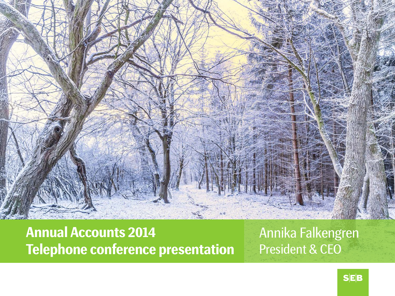

**Annual Accounts 2014 Telephone conference presentation** Annika Falkengren President & CEO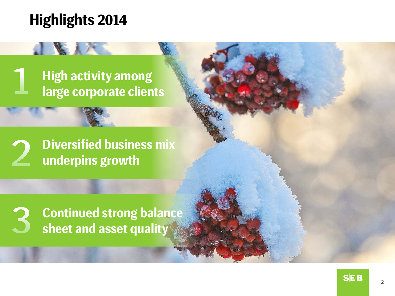### **Highlights 2014**

### **High activity among large corporate clients**

**Diversified business mix underpins growth**

**Continued strong balance sheet and asset quality**

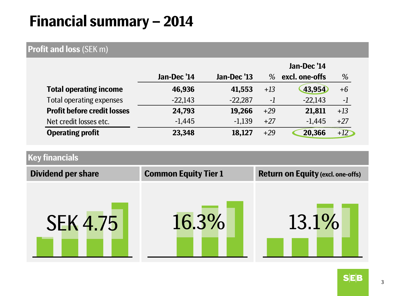### **Financial summary – 2014**

#### **Profit and loss** (SEK m)

|                                    |             |             | Jan-Dec '14 |                |       |
|------------------------------------|-------------|-------------|-------------|----------------|-------|
|                                    | Jan-Dec '14 | Jan-Dec '13 | %           | excl. one-offs | %     |
| <b>Total operating income</b>      | 46,936      | 41,553      | $+13$       | 43,954         | $+6$  |
| Total operating expenses           | $-22,143$   | $-22,287$   | $-1$        | $-22,143$      | $-1$  |
| <b>Profit before credit losses</b> | 24,793      | 19,266      | $+29$       | 21,811         | $+13$ |
| Net credit losses etc.             | $-1,445$    | $-1,139$    | $+27$       | $-1,445$       | $+27$ |
| <b>Operating profit</b>            | 23,348      | 18,127      | $+29$       | 20,366         | $+12$ |

#### **Key financials**

| <b>Dividend per share</b> | <b>Common Equity Tier 1</b> | <b>Return on Equity (excl. one-offs)</b> |
|---------------------------|-----------------------------|------------------------------------------|
| <b>SEK 4.75</b>           | 16.3%                       | 13.1%                                    |
|                           |                             |                                          |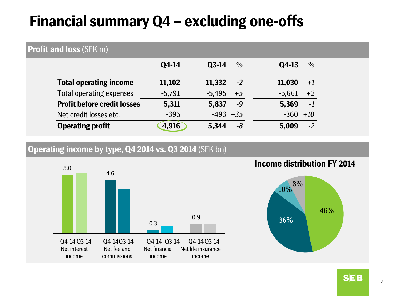### **Financial summary Q4 – excluding one-offs**

#### **Profit and loss** (SEK m)

|                                    | Q4-14    | %<br>$Q3-14$     | %<br>Q4-13       |
|------------------------------------|----------|------------------|------------------|
| <b>Total operating income</b>      | 11,102   | 11,332<br>$-2$   | 11,030<br>$+1$   |
| Total operating expenses           | $-5,791$ | $-5,495$<br>$+5$ | $-5,661$<br>$+2$ |
| <b>Profit before credit losses</b> | 5,311    | 5,837<br>$-9$    | $-1$<br>5,369    |
| Net credit losses etc.             | $-395$   | $-493 + 35$      | $-360 +10$       |
| <b>Operating profit</b>            | 4,916    | 5,344<br>-8      | $-2$<br>5,009    |

#### **Operating income by type, Q4 2014 vs. Q3 2014** (SEK bn)



#### **Income distribution FY 2014**



**SEB**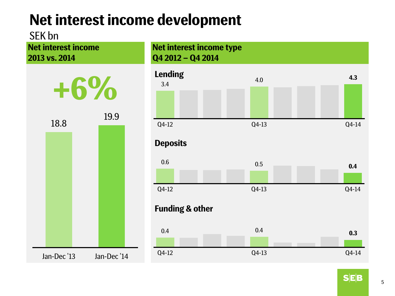## **Net interest income development**

SEK bn

**Net interest income 2013 vs. 2014**



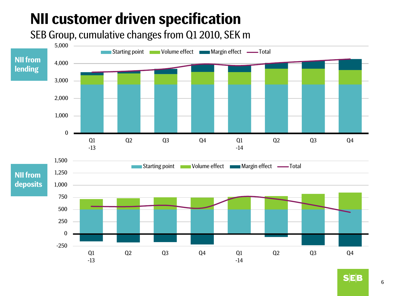# **NII customer driven specification**

SEB Group, cumulative changes from Q1 2010, SEK m



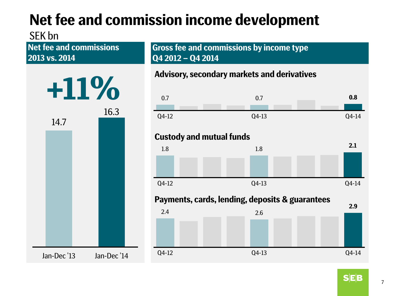# **Net fee and commission income development**

#### SEK bn

**Net fee and commissions 2013 vs. 2014**



**Gross fee and commissions by income type Q4 2012 – Q4 2014**

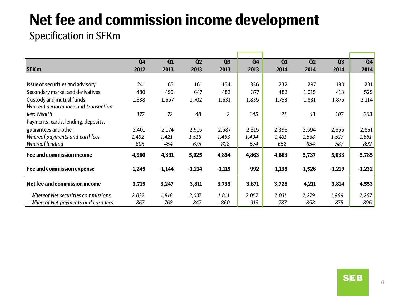## **Net fee and commission income development**

### Specification in SEKm

|                                     | Q <sub>4</sub> | Q1       | Q2       | Q <sub>3</sub> | Q <sub>4</sub> | Q1       | Q2       | Q <sub>3</sub> | Q <sub>4</sub> |
|-------------------------------------|----------------|----------|----------|----------------|----------------|----------|----------|----------------|----------------|
| <b>SEK m</b>                        | 2012           | 2013     | 2013     | 2013           | 2013           | 2014     | 2014     | 2014           | 2014           |
|                                     |                |          |          |                |                |          |          |                |                |
| Issue of securities and advisory    | 241            | 65       | 161      | 154            | 336            | 232      | 297      | 190            | 281            |
| Secondary market and derivatives    | 480            | 495      | 647      | 482            | 377            | 482      | 1,015    | 413            | 529            |
| Custody and mutual funds            | 1,838          | 1,657    | 1,702    | 1,631          | 1,835          | 1,753    | 1,831    | 1,875          | 2,114          |
| Whereof performance and transaction |                |          |          |                |                |          |          |                |                |
| fees Wealth                         | 177            | 72       | 48       | $\overline{2}$ | 145            | 21       | 43       | 107            | 263            |
| Payments, cards, lending, deposits, |                |          |          |                |                |          |          |                |                |
| guarantees and other                | 2,401          | 2,174    | 2,515    | 2,587          | 2,315          | 2,396    | 2,594    | 2,555          | 2,861          |
| Whereof payments and card fees      | 1,492          | 1,421    | 1,516    | 1,463          | 1,494          | 1,431    | 1,538    | 1,527          | 1,551          |
| Whereof lending                     | 608            | 454      | 675      | 828            | 574            | 652      | 654      | 587            | 892            |
| Fee and commission income           | 4,960          | 4,391    | 5,025    | 4,854          | 4,863          | 4,863    | 5,737    | 5,033          | 5,785          |
|                                     |                |          |          |                |                |          |          |                |                |
| Fee and commission expense          | $-1,245$       | $-1,144$ | $-1,214$ | $-1,119$       | $-992$         | $-1,135$ | $-1,526$ | $-1,219$       | $-1,232$       |
| Net fee and commission income       | 3,715          | 3,247    | 3,811    | 3,735          | 3,871          | 3,728    | 4,211    | 3,814          | 4,553          |
| Whereof Net securities commissions  | 2,032          | 1,818    | 2,037    | 1,811          | 2,057          | 2,031    | 2,279    | 1,969          | 2,267          |
| Whereof Net payments and card fees  | 867            | 768      | 847      | 860            | 913            | 787      | 858      | 875            | 896            |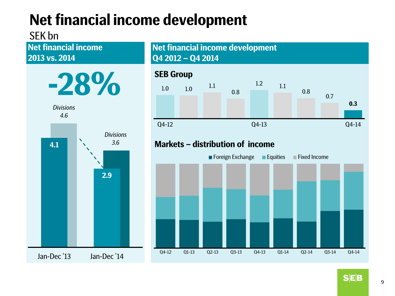# **Net financial income development**

### SEK bn

**Net financial income 2013 vs. 2014**







Q4-12 Q1-13 Q2-13 Q3-13 Q4-13 Q1-14 Q2-14 Q3-14 Q4-14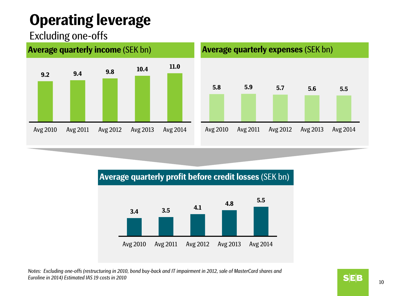# **Operating leverage**

### Excluding one-offs



#### **Average quarterly profit before credit losses** (SEK bn)



*Notes: Excluding one-offs (restructuring in 2010, bond buy-back and IT impairment in 2012, sale of MasterCard shares and Euroline in 2014) Estimated IAS 19 costs in 2010*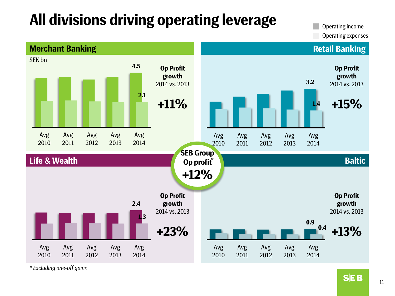## **All divisions driving operating leverage**

Operating income Operating expenses



*\* Excluding one-off gains*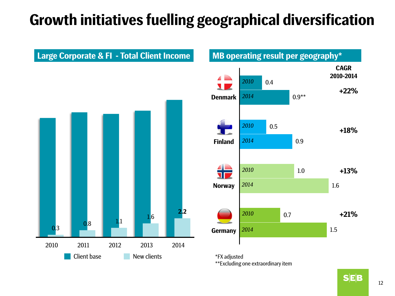## **Growth initiatives fuelling geographical diversification**





\*FX adjusted \*\*Excluding one extraordinary item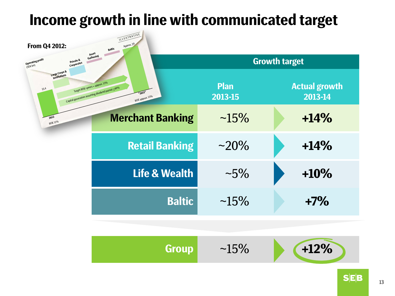### **Income growth in line with communicated target**



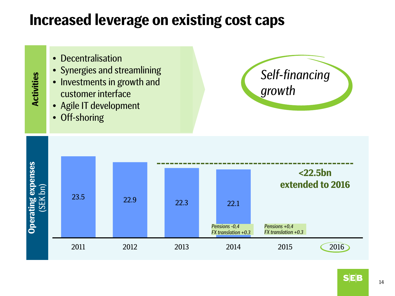### **Increased leverage on existing cost caps**

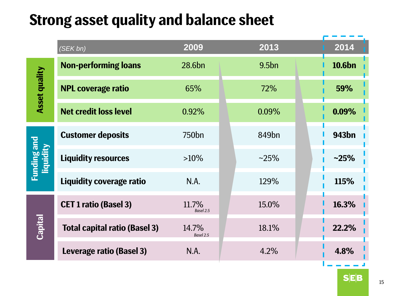### **Strong asset quality and balance sheet**

|                                        | (SEK bn)                             | 2009               | 2013              | 2014              |
|----------------------------------------|--------------------------------------|--------------------|-------------------|-------------------|
| <b>Asset quality</b>                   | <b>Non-performing loans</b>          | 28.6bn             | 9.5 <sub>bn</sub> | 10.6bn            |
|                                        | <b>NPL coverage ratio</b>            | 65%                | 72%               | 59%               |
|                                        | <b>Net credit loss level</b>         | 0.92%              | 0.09%             | 0.09%             |
| <b>Funding and</b><br><b>Liquidity</b> | <b>Customer deposits</b>             | 750 <sub>bn</sub>  | 849 <sub>bn</sub> | 943 <sub>bn</sub> |
|                                        | <b>Liquidity resources</b>           | $>10\%$            | $~25\%$           | $-25%$            |
|                                        | Liquidity coverage ratio             | N.A.               | 129%              | 115%              |
| <b>Capital</b>                         | <b>CET 1 ratio (Basel 3)</b>         | 11.7%<br>Basel 2.5 | 15.0%             | 16.3%             |
|                                        | <b>Total capital ratio (Basel 3)</b> | 14.7%<br>Basel 2.5 | 18.1%             | 22.2%             |
|                                        | Leverage ratio (Basel 3)             | N.A.               | 4.2%              | 4.8%              |
|                                        |                                      |                    |                   |                   |

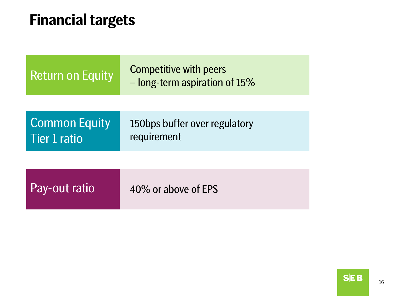### **Financial targets**

| <b>Return on Equity</b>              | <b>Competitive with peers</b><br>- long-term aspiration of 15% |  |
|--------------------------------------|----------------------------------------------------------------|--|
| <b>Common Equity</b><br>Tier 1 ratio | 150bps buffer over regulatory<br>requirement                   |  |
| Pay-out ratio                        | 40% or above of FPS                                            |  |

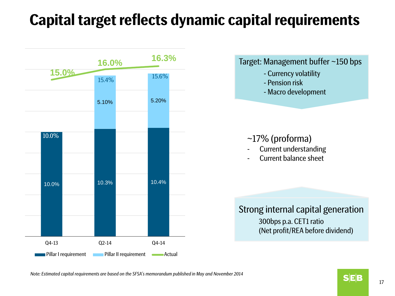### **Capital target reflects dynamic capital requirements**



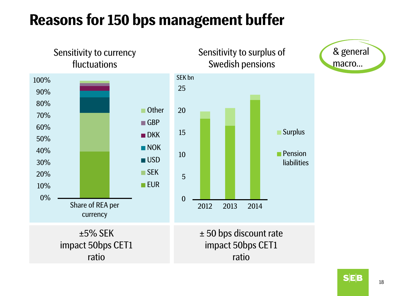### **Reasons for 150 bps management buffer**